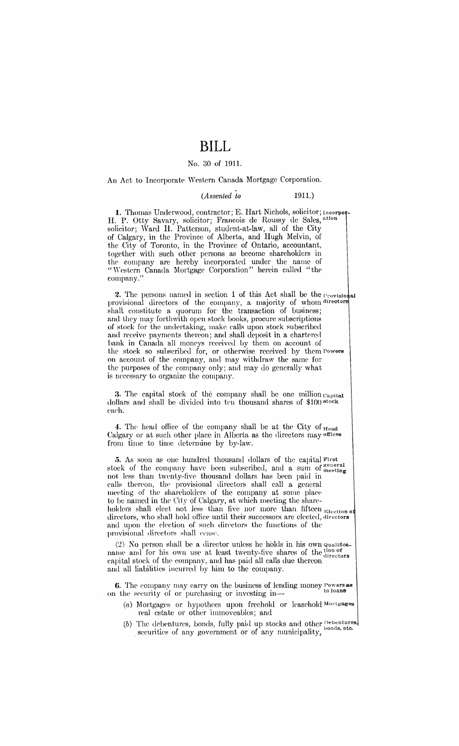# **BILL**

#### No. 30 of 1911.

An Act to Incorporate Western Canada Mortgage Corporation.

#### *(Assented to* 1911.)

1. Thomas Underwood, contractor; E. Hart Nichols, solicitor; Incorpor-H. P. Otty Savary, solicitor; Francois de Roussy de Sales, ation solicitor; Ward H. Patterson, student-at-law, all of the City of Calgary, in the Province of Alberta, and Hugh Melvin, of the City of Toronto, in the Province of Ontario, accountant, together with such other persons as become shareholders in the company are hereby incorporated under the name of "Western Canada Mortgage Corporation" herein called "the company."

**2.** The persons named in section 1 of this Act shall be the  $\Gamma$ <sub>rovision</sub> al provisional directors of the company, a majority of whom directors shall constitute a quorum for the transaction of business; aml they may forthwith open stock books, procure subscriptions of stock for the undertaking, make calls upon stock subscribed and receive payments thereon; and shall deposit in a chartered bank in Canada all moneys received by them on account of the stock so subscribed for, or otherwise received by them Powers on account of the company, and may withdraw the same for the purposes of the company only; and may do generally what is necessary to organize the company.

3. The capital stock of the company shall be one million capital dollars and shall be divided into ten thousand shares of \$100 stock cach.

4. The head office of the company shall be at the City of  $_{\text{Head}}$ Calgary or at such other place in Alberta as the directors may offices from time to time determine by by-law.

*5.* As soon as one hundred thousand dollars of the capital First stock of the company have been subscribed, and a sum of ~e~~~~~~ not less than twenty-five thousand dollars has been paid in calls thereon, the provisional directors shall call a general meeting of the shareholders of the company at some place to be named in the City of Calgary, at which meeting the shareholders shall elect not less than five nor more than fifteen  $_{\text{Electronic}}$ directors, who shall hold office until their successors are elected, director and upon the election of such directors the functions of the provisional directors shall cease.

 $(2)$  No person shall be a director unless he holds in his own qualificaname and for his own use at least twenty-five shares of the  $_{\text{directions}}^{100 \text{ of}}$ capital stock of the company, and has paid all calls due thereon and all liabilities incurred by him to the company.

6. The company may carry on the business of lending money Powers as on the security of or purchasing or investing in-

- (a) Mortgages or hypothees upon freehold or leasehold Mortgages real estate or other immoveables; and
- (b) The debentures, bonds, fully paid up stocks and other Debentures, securities of any government or of any municipality,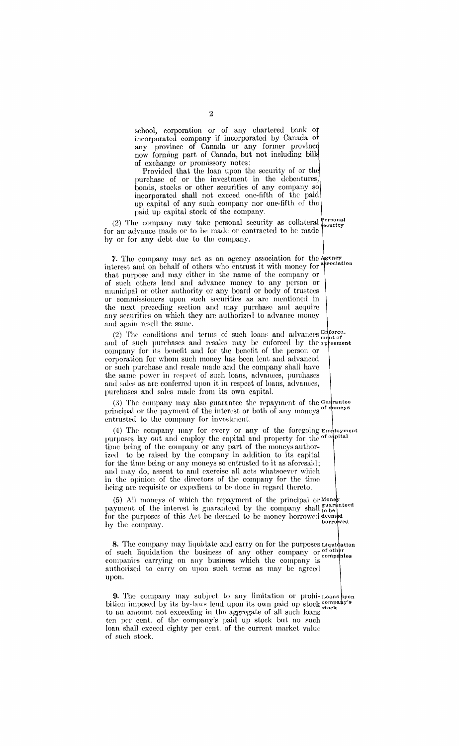school, corporation or of any chartered bank o incorporated company if incorporated by Canada o any province of Canada or any former provinc now forming part of Canada, but not including bill of exchange or promissory notes:

Provided that the loan upon the security of or the purchase of or the investment in the debentures, bonds, stocks or other securities of any company so incorporated shall not exceed one-fifth of the paid up capital of any such company nor one-fifth of the paid up capital stock of the company.

(2) The company may take personal security as collateral  $\frac{\text{Personal}}{\text{security}}$ for an advance made or to be made or contracted to be made by or for any debt due to the company.

7. The company may act as an agency association for the  $\frac{1}{2}$ interest and on behalf of others who entrust it with money for association that purpose and may either in the name of the company or of such others lend and advance money to any person or municipal or other authority or any board or body of trustees or commissioners upon such securities as are mentioned in the next preceding section and may purchase and acquire any securities on which they are authorized to advance money and agaiu resell the same.

(2) The conditions and terms of such loans and advances  $_{\text{m}+i}^{\text{error}}$ and of such purchases and resales may be enforced by the arrestment company for its benefit and for the benefit of the person or corporation for whom such money has been lent and advanced or such purchase and resale made and the company shall haYe the same power in respect of such loans, advances, purchases and sales as arc conferred upon it in respect of loans, advances, purchases and sales made from its own capital.

(3) The company may also guarantee the repayment of the Guarantee principal or the payment of the interest or both of any moneys entrusted to the company for investment.

(4) The company may for every or any of the foregoing  $Em$  ployment purposes lay out and employ the capital and property for the <sup>of capital</sup> time being of the company or any part of the moneys authorized to be raised by the company in addition to its capital for the time being or any moneys so entrusted to it as aforesaid; and may do, assent to and exercise all acts whatsoever which in the opinion of the directors of the company for the time being arc requisite or expedient to be done in regard thereto.

(5) All moneys of which the repayment of the principal or Money payment of the interest is guaranteed by the company shall fo be for the purposes of this Act be deemed to be money borrowed deem by the company.  $\blacksquare$ 

8. The company may liquidate and carry on for the purposes Liquidation of such liquidation the business of any other company or of other companies carrying on any business which the company is authorized to carry on upon such terms as may be agreed upon.

9. The company may subject to any limitation or prohi- Loans ppon bition imposed by its by-laws lend upon its own paid up stock compa lower impower by the by him tend apon the our plant ap been stock to an amount not exceeding in the aggregate of all such loans ten per cent. of the company's paid up stock but no such loan shall exceed eighty per cent. of the current market value of such stock.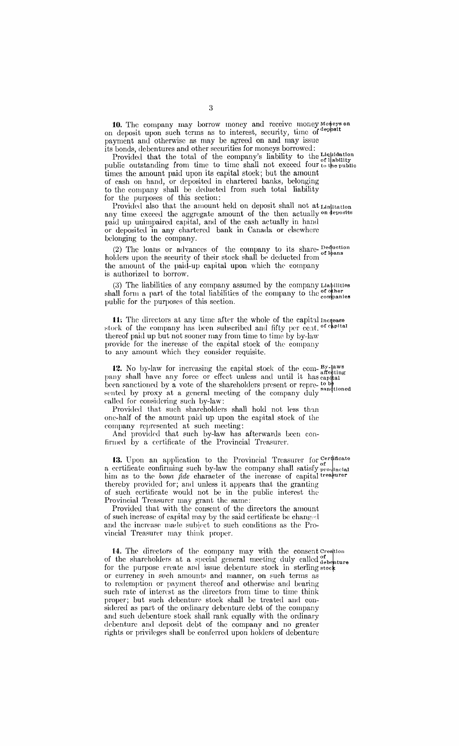10. The company may borrow money and receive money Moters on on deposit upon such terms as to interest, security, time of deposit payment and otherwise as may be agreed on and may issue its bonds, debentures and other securities for moneys borrowed:

Provided that the total of the company's liability to the Liquidation public outstanding from time to time shall not exceed four to the public times the amount paid upon its capital stock; but the amount of cash on hand, or deposited in chartered banks, belonging to the company shall be deducted from such total liability for the purposes of this section:

Provided also that the amount held on deposit shall not at Linitation any time exceed the aggregate amount of the then actually on deposits paid up unimpaired capital, and of the cash actually in hand or deposited in any chartered bank in Canada or elsewhere belonging to the company.

(2) The loans or advances of the company to its share-  $_{\rm of ~hans}^{[\rm{equ:} 1]}$ holders upon the security of their stock shall be deducted from the amount of the paid-up capital upon which the company is authorized to borrow.

(3) The liabilities of any company assumed by the company Liabilities shall form a part of the total liabilities of the company to the <sup>of other</sup> empanies public for the purposes of this section.

11. The directors at any time after the whole of the capital Increase stock of the company has been subscribed and fifty per cent. <sup>of chpital</sup> thereof paid up but not sooner may from time to time by by-law provide for the increase of the capital stock of the company to any amount which they consider requisite.

12. No by-law for increasing the capital stock of the com-  $B_{\rm y}\rm{-}1$ pany shall have any force or effect unless and until it has eapthal been sanctioned by a vote of the shareholders present or repre- to be sented by proxy at a general meeting of the company duly called for cousidering such by-law:

Provided that such shareholders shall hold not less than one-half of the amount paid up upon the capital stock of the company represented at such meeting:

And provided that such by-law has afterwards been confirmed by a certificate of the Provincial Treasurer.

13. Upon an application to the Provincial Treasurer for  $C_{\rm cf}^{\rm cer}$  theorem a certificate confirming such by-law the company shall satisfy  $_{\text{product}}$ him as to the *bona fide* character of the increase of capital treasurer thereby provided for; and unless it appears that the granting of such certificate would not be in the public interest the Provincial Treasurer may grant the same:

Provided that with the consent of the directors the amount of such increase of capital may by the said certificate be changed and the increase made subicct to such conditions as the Provincial Treasurer may think proper.

14. The directors of the company may with the consent Creation of the shareholders at a special general meeting duly called debenture for the purpose create and issue debenture stock in sterling stock or currency in sveh amounts and manner, on such terms as to redemption or payment thereof and otherwise and bearing such rate of interest as the directors from time to time think proper; but such debenture stock shall be treated and considered as part of the ordinary debenture debt of the company and such debenture stock shall rank equally with the ordinary debenture and deposit debt of the company and no greater rights or privileges shall be conferred upon holders of debenture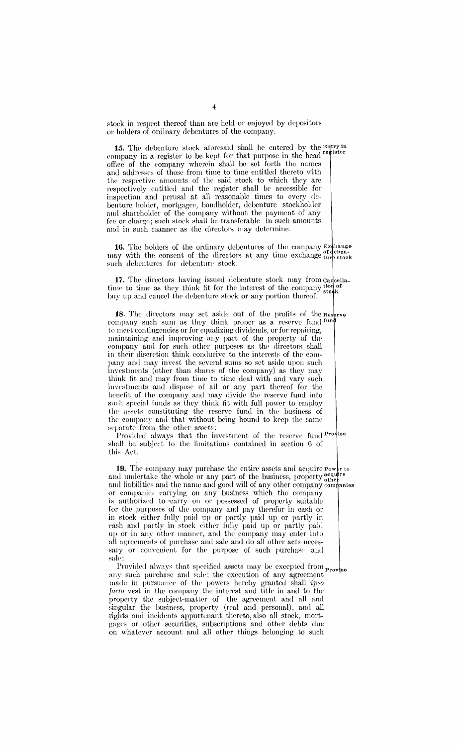stock in respect thereof than arc held or enjoyed by depositors or holders of ordinary debentures of the company.

15. The debenture stock aforesaid shall be entered by the  $E_{\text{right}}^{\text{Htry in}}$ company in a register to be kept for that purpose in the head  $\mathbf{r}^{\text{e}}$  ister office of the company wherein shall be set forth the names and addresses of those from time to time entitled thereto with the respective amounts of ihc said stock to which they arc respectively entitled and the register shall be accessible for inspection and perusal at all reasonable times to every debenture holder, mortgagee, bondholder, debenture stockholder and shareholder of the company without the payment of any fee or charge; such stock shall be transferable in such amounts and in such manner as the directors may determine.

**16.** The holders of the ordinary debentures of the company  $\mathbb{E}$  stehange may with the consent of the directors at any time exchange furthermore. such debentures for debenture stock.

17. The directors having issued debenture stock may from cancellatime to time as they think fit for the interest of the company  $\frac{\text{top of}}{\text{stock}}$ buy up and cancel the debenture stock or any portion thereof.

18. The directors may set aside out of the profits of the Reserve company such sum as they think proper as a reserve fund fun to meet contingencies or for equalizing dividends, or for repairing, maintaining and improving any part of the property of the company and for such other purposes as the directors shall in their discretion think conducive to the interests of the company and may invest the several sums so set aside upon such investments (other than shares of the company) as they may think fit and may from time to time deal with and vary such innic in and dispose of all or any part thereof for the benefit of the company and may divide the reserve fund into such special funds as they think fit with full power to employ the assets constituting the reserve fund in the business of the company and that without being bound to keep the same separate from the other assets:

Provided always that the investment of the reserve fund Proviso shall be subject to the limitations contained in section G of this Act.

**19.** The company may purchase the entire assets and acquire  $\mathbf{P} \circ \mathbf{w}$  r to and undertake the whole or any part of the business, property  $_{\text{other}}^{\text{acquire}}$ and liabilities and the name and good will of any other company companies or companies carrying on any business which the company is authorized to earry on or possessed of property suitable for the purposes of the company and pay therefor in cash or in stock either fully paid up or partly paid up or partly in eash and partly in stock either fully paid up or partly paid up or in any other manner, and the company may enter into all agreements of purchase and sale and do all other acts necessary or convenient for the purpose of such purchase and sale:

Provided always that specified assets may be excepted from Prov so any such purchase and sale; the execution of any agreement made in pursuance of the powers hereby granted shall *ipso facto* vest in the company the interest and title in and to the property the subject-matter of the agreement and all and singular the business, property (real and personal), and all rights and incidents appurtenant thereto, also all stock, mortgages or other securities, subscriptions and other debts due on whatever account and all other things belonging to such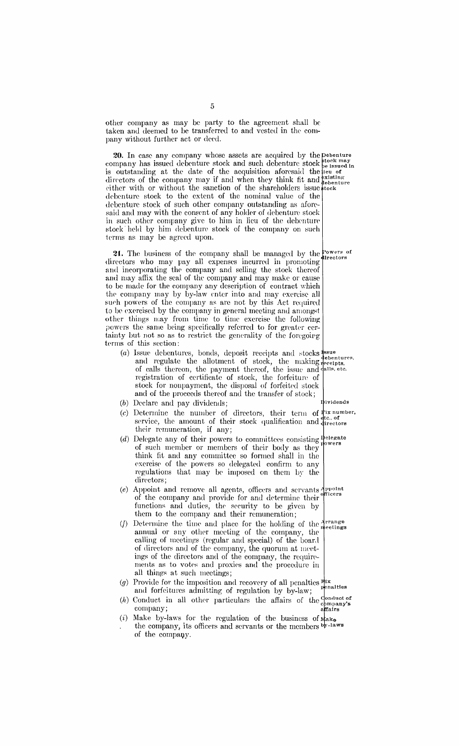other company as may be party to the agreement shall be taken aml deemed to be transferred to and vested in the company without further act or derd.

20. In case any company whose assets are acquired by the pebenture company has issued debenture stock and such debenture stock  $_{\rm{be}}^{to}$  issued in is outstanding at the date of the acquisition aforesaid the fieu of directors of the company may if and when they think fit and  $\frac{\text{existing}}{\text{debendure}}$ either with or without the sanction of the shareholders issue took debenture stock to the extent of the nominal value of the debenture stock of such other company outstanding as aforesaid and may with the consent of any holder of debenture stock in such other company give to him in lieu of the debenture stock held by him debenture stock of the company on such terms as may be agreed upon.

**21.** The business of the company shall be managed by the **Powers** of  $directors$  who may pay all expenses incurred in promoting and incorporating the company and selling the stock thereof and may affix the seal of the company and may make or cause to be made for the company any description of contract which the company may by by-law enter into and may exercise all such powers of the company as are not by this Act required to be exercised by the company in general meeting and amongst other things may from time to time exercise the following powers the same being specifically referred to for greater certainty but not so as to restrict the generality of the forcgoirg terms of this section:

- (a) Issue debentures, bonds, deposit receipts and stocks  $\frac{1}{2}$  ssue  $\frac{1}{2}$  and  $\frac{1}{2}$  securities,  $\frac{1}{2}$  and  $\frac{1}{2}$  supplies  $\frac{1}{2}$  and  $\frac{1}{2}$  supplies  $\frac{1}{2}$  and  $\frac{1}{2}$   $\frac{1}{2}$  and  $\frac{1}{2}$ and regulate the allotment of stock, the making and regulate the allotment of stock, the making deceipts.<br>of calls thereon, the payment thereof, the issue and dalls etc. registration of certificate of stock, the forfeiture of stock for nonpayment, the disposal of forfeited stock and of the proceeds thereof and the transfer of stock; ividends
- (b) Declare and pay dividends;
- (c) Determine the number of directors, their term of **ix num'ber,**  service, the amount of their stock qualification and directors their remuneration, if any;
- (d) Delegate any of their powers to committees consisting  $P_{\text{e}}^{\text{leperate}}$ of such member or members of their body as they think fit and any committee so formed shall in the exercise of the powers so delegated confirm to any regulations that may be imposed on them by the directors;
- (e) Appoint and remove all agents, officers and servants  $A_{\text{proont}}$ of the company and provide for and determine their tcers functions and duties, the security to be given by them to the company and their remuneration;
- (*f*) Determine the time and place for the holding of the  $\frac{Arrange}{\text{m}{\text{neetings}}}$ annual or any other meeting of the company, the calling of meetings (regular and special) of the board of directors and of the company, the quorum at meetings of the directors and of the company, the requirements as to votes and proxies and the procedure in all things at such meetings;
- (g) Provide for the imposition and recovery of all penalties  $\frac{\text{flux}}{\text{penalties}}$ and forfeitures admitting of regulation by by-law;
- (h) Conduct in all other particulars the affairs of the Conduct of company;<br>company; affairs
- (i) Make by-laws for the regulation of the business of  $\mathbf{M}_{\mathbf{a}}$ the company, its officers and servants or the members by-laws of the company.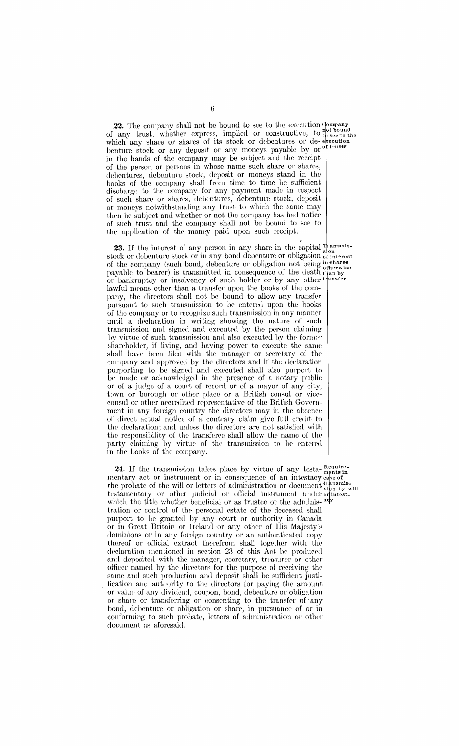**22.** The company shall not be bound to see to the execution  $\frac{{\text{j}}{\text{opt}}}{\text{b}}$  or  $\frac{1}{\text{opt}}$  for  $\frac{1}{\text{opt}}$  see to the which any share or shares of its stock or debentures or de-execution benture stock or any deposit or any moneys payable by or <sup>of trusts</sup> in the hands of the company may be subject and the receipt of the person or persons in whose name such share or shares, debentures, debenture stock, deposit or moneys stand in the books of the company shall from time to time be sufficient discharge to the company for any payment made in respect of such share or shares, dclwntures, debenture stock, deposit or moneys notwithstanding any trust to which the same may then be subject and whether or not the company has had notice of such trust and the company shall not be bound to see to the application of the money paid upon such receipt.

23. If the interest of any person in any share in the capital  $\mathbb{F}_{\text{can}}^{\text{trans}}$ stock or debenture stock or in any bond debenture or obligation of interest of the company (such bond, debenture or obligation not being in shares<br>payable to bearer) is transmitted in consequence of the death than by or bankruptcy or insolvency of such holder or by any other transfer lawful means other than a transfer upon the books of the company, the directors shall not be bound to allow any transfer pursuant to such transmission to be entered upon the books of the company or to recognize such transmission in any manner until a declaration in writing showing the nature of such transmission and signed and executed by the person claiming by virtue of such transmission and also executed by the former shareholder, if living, and having power to execute the same shall have been filed with the manager or secretary of the company and approved by the directors and if the declaration purporting to be signed and executed shall also purport to be made or acknowledged in the presence of a notary public or of a judge of a court of record or of a mayor of any city, town or borough or other place or a British consul or viceconsul or other accredited representative of the British Government in any foreign country the directors may in the absence of direct actual notice of a contrary claim give full credit to the declaration; and unless the directors arc not satisfied with the responsibility of the transferee shall allow the name of the party claiming by virtue of the transmission to be entered in the books of the company.

24. If the transmission takes place by virtue of any testa- $_{\text{ments in}}^{\text{Bquire}}$ mentary act or instrument or in consequence of an intestacy case of the probate of the will or letters of administration or document  $_{\text{sinh by will}}^{transmiss}$ testamentary or other judicial or official instrument under orintestwhich the title whether beneficial or as trustee or the adminis-<sup>ady</sup> tration or control of the personal estate of the deceased shall purport to be granted by any court or authority in Canada or in Great Britain or Ireland or any other of His Majesty's dominions or in any foreign country or an authenticated copy thereof or official extract therefrom shall together with the declaration mentioned in section 23 of this Act be produced and deposited with the manager, secretary, treasurer or other officer named by the directors for the purpose of receiving the same and such production and deposit shall be sufficient justification and authority to the directors for paying the amount or value of any dividend, coupon, bond, debenture or obligation or share or transferring or consenting to the transfer of any bond, debenture or obligation or share, in pursuance of or in conforming to such probate, letters of administration or other document as aforesaid.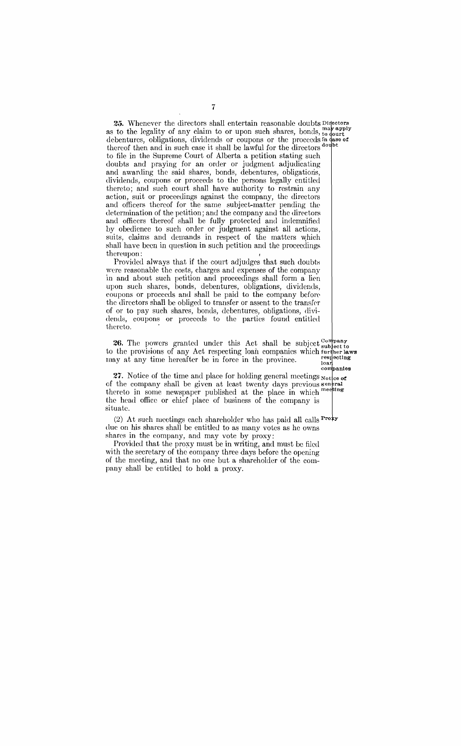**25.** Whenever the directors shall entertain reasonable doubts Directors as to the legality of any claim to or upon such shares, bonds,  $_{\text{to}}^{\text{may apply}}$ debentures, obligations, dividends or coupons or the proceeds in thereof then and in such case it shall be lawful for the directors doubt to file in the Supreme Court of Alberta a petition stating such doubts and praying for an order or judgment adjudicating and awarding the said shares, bonds, debentures, obligations, dividends, coupons or proceeds to the persons legally entitled thereto; and such court shall have authority to restrain any action, suit or proceedings against the company, the directors and officers thereof for the same subject-matter pending the determination of the petition; and the company and the directors and officers thereof shall be fully protected and indemnified by obedience to such order or judgment against all actions, suits, claims and demands in respect of the matters which shall have been in question in such petition and the proceedings thereupon:

Provided always that if the eourt adjudges that such doubts were reasonable the costs, charges and expenses of the company in and about such petition and proceedings shall form a lim upon such shares, bonds, debentures, obligations, dividends, coupons or proceeds and shall be paid to the company bcfon• the directors shall be obliged to transfer or assent to the transfer of or to pay such shares, bonds, debentures, obligations, dividends, coupons or proceeds to the parties found entitled thereto.

26. The powers granted under this Act shall be subject company to the provisions of any Act respecting loan companies which further laws may at any time hereafter be in force in the province.  $\frac{\text{resplecting}}{\text{log }n}$ 

companies 27. Notice of the time and place for holding general meetings  $\frac{1}{\sqrt{2}}$ of the company shall be given at least twenty days previous  $\frac{1}{2}$ thereto in some newspaper published at the place in which meeting the head office or chief place of business of the company is situate.

(2) At such meetings each shareholder who has paid all calls  $\text{Proky}$ due on his shares shall be entitled to as many votes as he owns shares in the eompany, and may vote by proxy:

Provided that the proxy must be in writing, and must be filed with the secretary of the company three days before the opening of the meeting, and that no one but a shareholder of the com~ pany shall be entitled to hold a proxy.